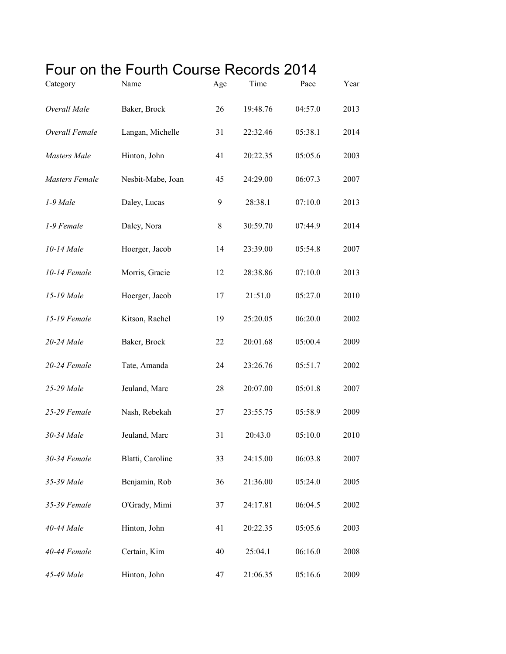## Four on the Fourth Course Records 2014

| Category              | Name              | Age | Time     | Pace    | Year |
|-----------------------|-------------------|-----|----------|---------|------|
| Overall Male          | Baker, Brock      | 26  | 19:48.76 | 04:57.0 | 2013 |
| Overall Female        | Langan, Michelle  | 31  | 22:32.46 | 05:38.1 | 2014 |
| Masters Male          | Hinton, John      | 41  | 20:22.35 | 05:05.6 | 2003 |
| <b>Masters Female</b> | Nesbit-Mabe, Joan | 45  | 24:29.00 | 06:07.3 | 2007 |
| 1-9 Male              | Daley, Lucas      | 9   | 28:38.1  | 07:10.0 | 2013 |
| 1-9 Female            | Daley, Nora       | 8   | 30:59.70 | 07:44.9 | 2014 |
| 10-14 Male            | Hoerger, Jacob    | 14  | 23:39.00 | 05:54.8 | 2007 |
| 10-14 Female          | Morris, Gracie    | 12  | 28:38.86 | 07:10.0 | 2013 |
| 15-19 Male            | Hoerger, Jacob    | 17  | 21:51.0  | 05:27.0 | 2010 |
| 15-19 Female          | Kitson, Rachel    | 19  | 25:20.05 | 06:20.0 | 2002 |
| 20-24 Male            | Baker, Brock      | 22  | 20:01.68 | 05:00.4 | 2009 |
| 20-24 Female          | Tate, Amanda      | 24  | 23:26.76 | 05:51.7 | 2002 |
| 25-29 Male            | Jeuland, Marc     | 28  | 20:07.00 | 05:01.8 | 2007 |
| 25-29 Female          | Nash, Rebekah     | 27  | 23:55.75 | 05:58.9 | 2009 |
| 30-34 Male            | Jeuland, Marc     | 31  | 20:43.0  | 05:10.0 | 2010 |
| 30-34 Female          | Blatti, Caroline  | 33  | 24:15.00 | 06:03.8 | 2007 |
| 35-39 Male            | Benjamin, Rob     | 36  | 21:36.00 | 05:24.0 | 2005 |
| 35-39 Female          | O'Grady, Mimi     | 37  | 24:17.81 | 06:04.5 | 2002 |
| 40-44 Male            | Hinton, John      | 41  | 20:22.35 | 05:05.6 | 2003 |
| 40-44 Female          | Certain, Kim      | 40  | 25:04.1  | 06:16.0 | 2008 |
| 45-49 Male            | Hinton, John      | 47  | 21:06.35 | 05:16.6 | 2009 |